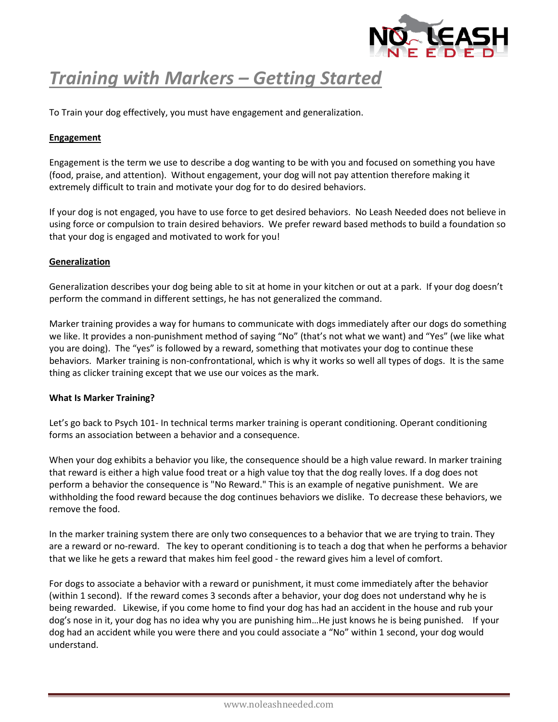

## *Training with Markers – Getting Started*

To Train your dog effectively, you must have engagement and generalization.

## **Engagement**

Engagement is the term we use to describe a dog wanting to be with you and focused on something you have (food, praise, and attention). Without engagement, your dog will not pay attention therefore making it extremely difficult to train and motivate your dog for to do desired behaviors.

If your dog is not engaged, you have to use force to get desired behaviors. No Leash Needed does not believe in using force or compulsion to train desired behaviors. We prefer reward based methods to build a foundation so that your dog is engaged and motivated to work for you!

## **Generalization**

Generalization describes your dog being able to sit at home in your kitchen or out at a park. If your dog doesn't perform the command in different settings, he has not generalized the command.

Marker training provides a way for humans to communicate with dogs immediately after our dogs do something we like. It provides a non-punishment method of saying "No" (that's not what we want) and "Yes" (we like what you are doing). The "yes" is followed by a reward, something that motivates your dog to continue these behaviors. Marker training is non-confrontational, which is why it works so well all types of dogs. It is the same thing as clicker training except that we use our voices as the mark.

## **What Is Marker Training?**

Let's go back to Psych 101- In technical terms marker training is operant conditioning. Operant conditioning forms an association between a behavior and a consequence.

When your dog exhibits a behavior you like, the consequence should be a high value reward. In marker training that reward is either a high value food treat or a high value toy that the dog really loves. If a dog does not perform a behavior the consequence is "No Reward." This is an example of negative punishment. We are withholding the food reward because the dog continues behaviors we dislike. To decrease these behaviors, we remove the food.

In the marker training system there are only two consequences to a behavior that we are trying to train. They are a reward or no-reward. The key to operant conditioning is to teach a dog that when he performs a behavior that we like he gets a reward that makes him feel good - the reward gives him a level of comfort.

For dogs to associate a behavior with a reward or punishment, it must come immediately after the behavior (within 1 second). If the reward comes 3 seconds after a behavior, your dog does not understand why he is being rewarded. Likewise, if you come home to find your dog has had an accident in the house and rub your dog's nose in it, your dog has no idea why you are punishing him…He just knows he is being punished. If your dog had an accident while you were there and you could associate a "No" within 1 second, your dog would understand.